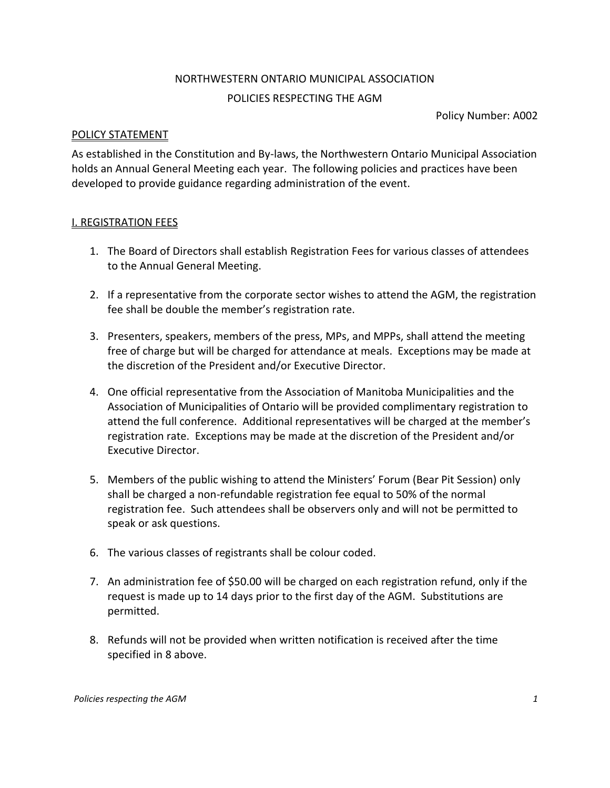# NORTHWESTERN ONTARIO MUNICIPAL ASSOCIATION POLICIES RESPECTING THE AGM

Policy Number: A002

## POLICY STATEMENT

As established in the Constitution and By-laws, the Northwestern Ontario Municipal Association holds an Annual General Meeting each year. The following policies and practices have been developed to provide guidance regarding administration of the event.

## I. REGISTRATION FEES

- 1. The Board of Directors shall establish Registration Fees for various classes of attendees to the Annual General Meeting.
- 2. If a representative from the corporate sector wishes to attend the AGM, the registration fee shall be double the member's registration rate.
- 3. Presenters, speakers, members of the press, MPs, and MPPs, shall attend the meeting free of charge but will be charged for attendance at meals. Exceptions may be made at the discretion of the President and/or Executive Director.
- 4. One official representative from the Association of Manitoba Municipalities and the Association of Municipalities of Ontario will be provided complimentary registration to attend the full conference. Additional representatives will be charged at the member's registration rate. Exceptions may be made at the discretion of the President and/or Executive Director.
- 5. Members of the public wishing to attend the Ministers' Forum (Bear Pit Session) only shall be charged a non-refundable registration fee equal to 50% of the normal registration fee. Such attendees shall be observers only and will not be permitted to speak or ask questions.
- 6. The various classes of registrants shall be colour coded.
- 7. An administration fee of \$50.00 will be charged on each registration refund, only if the request is made up to 14 days prior to the first day of the AGM. Substitutions are permitted.
- 8. Refunds will not be provided when written notification is received after the time specified in 8 above.